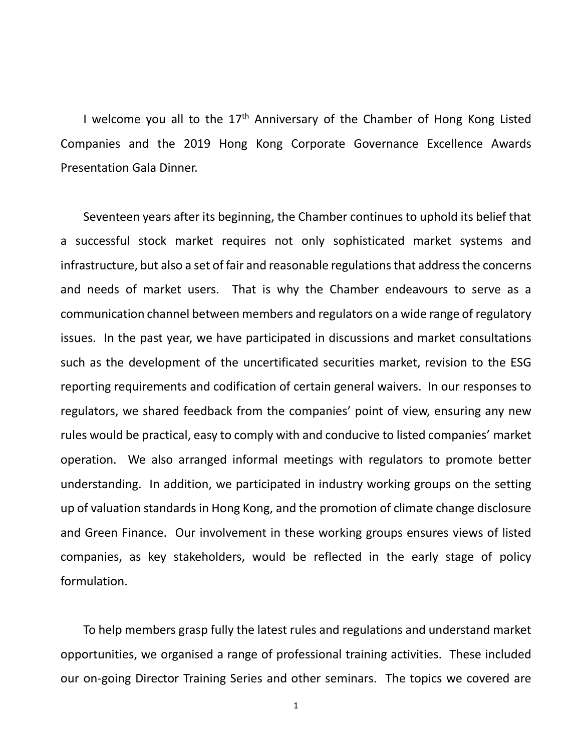I welcome you all to the  $17<sup>th</sup>$  Anniversary of the Chamber of Hong Kong Listed Companies and the 2019 Hong Kong Corporate Governance Excellence Awards Presentation Gala Dinner.

Seventeen years after its beginning, the Chamber continues to uphold its belief that a successful stock market requires not only sophisticated market systems and infrastructure, but also a set of fair and reasonable regulations that address the concerns and needs of market users. That is why the Chamber endeavours to serve as a communication channel between members and regulators on a wide range of regulatory issues. In the past year, we have participated in discussions and market consultations such as the development of the uncertificated securities market, revision to the ESG reporting requirements and codification of certain general waivers. In our responses to regulators, we shared feedback from the companies' point of view, ensuring any new rules would be practical, easy to comply with and conducive to listed companies' market operation. We also arranged informal meetings with regulators to promote better understanding. In addition, we participated in industry working groups on the setting up of valuation standards in Hong Kong, and the promotion of climate change disclosure and Green Finance. Our involvement in these working groups ensures views of listed companies, as key stakeholders, would be reflected in the early stage of policy formulation.

To help members grasp fully the latest rules and regulations and understand market opportunities, we organised a range of professional training activities. These included our on-going Director Training Series and other seminars. The topics we covered are

1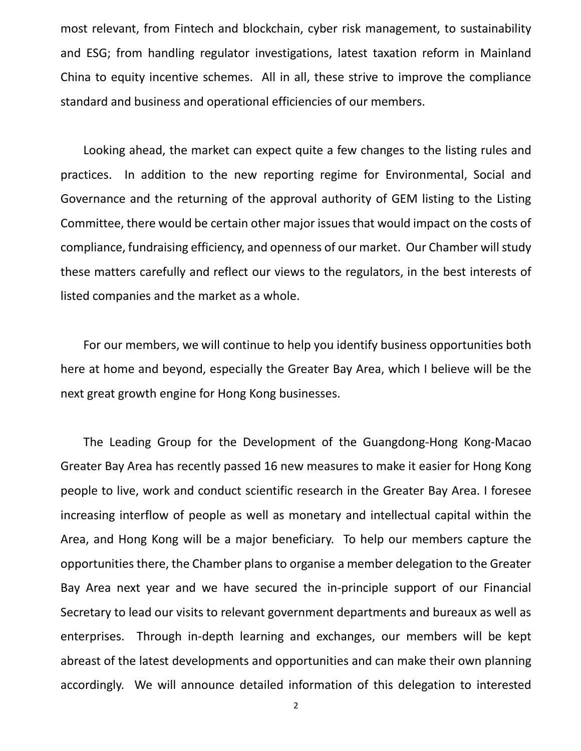most relevant, from Fintech and blockchain, cyber risk management, to sustainability and ESG; from handling regulator investigations, latest taxation reform in Mainland China to equity incentive schemes. All in all, these strive to improve the compliance standard and business and operational efficiencies of our members.

Looking ahead, the market can expect quite a few changes to the listing rules and practices. In addition to the new reporting regime for Environmental, Social and Governance and the returning of the approval authority of GEM listing to the Listing Committee, there would be certain other major issues that would impact on the costs of compliance, fundraising efficiency, and openness of our market. Our Chamber will study these matters carefully and reflect our views to the regulators, in the best interests of listed companies and the market as a whole.

For our members, we will continue to help you identify business opportunities both here at home and beyond, especially the Greater Bay Area, which I believe will be the next great growth engine for Hong Kong businesses.

The Leading Group for the Development of the Guangdong-Hong Kong-Macao Greater Bay Area has recently passed 16 new measures to make it easier for Hong Kong people to live, work and conduct scientific research in the Greater Bay Area. I foresee increasing interflow of people as well as monetary and intellectual capital within the Area, and Hong Kong will be a major beneficiary. To help our members capture the opportunities there, the Chamber plans to organise a member delegation to the Greater Bay Area next year and we have secured the in-principle support of our Financial Secretary to lead our visits to relevant government departments and bureaux as well as enterprises. Through in-depth learning and exchanges, our members will be kept abreast of the latest developments and opportunities and can make their own planning accordingly. We will announce detailed information of this delegation to interested

2